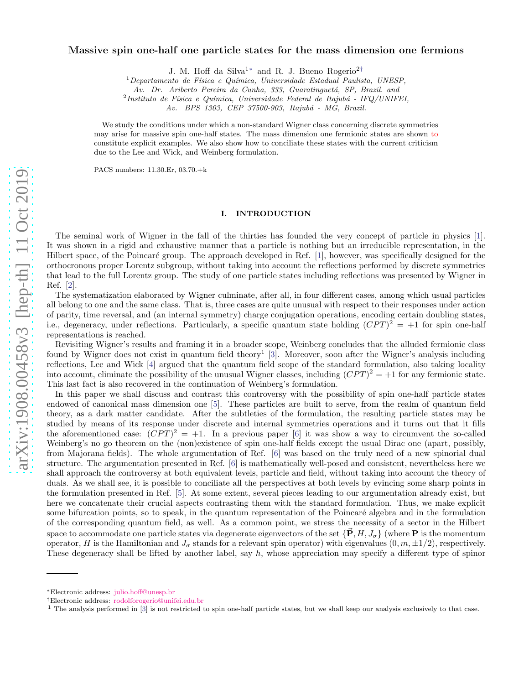# Massive spin one-half one particle states for the mass dimension one fermions

J. M. Hoff da Silva1[∗](#page-0-0) and R. J. Bueno Rogerio2[†](#page-0-1)

 $1$ Departamento de Física e Química, Universidade Estadual Paulista, UNESP,

Av. Dr. Ariberto Pereira da Cunha, 333, Guaratinguetá, SP, Brazil. and

 $^{2}$ Instituto de Física e Química, Universidade Federal de Itajubá - IFQ/UNIFEI,

Av. BPS 1303, CEP 37500-903, Itajubá - MG, Brazil.

We study the conditions under which a non-standard Wigner class concerning discrete symmetries may arise for massive spin one-half states. The mass dimension one fermionic states are shown to constitute explicit examples. We also show how to conciliate these states with the current criticism due to the Lee and Wick, and Weinberg formulation.

PACS numbers: 11.30.Er, 03.70.+k

## I. INTRODUCTION

The seminal work of Wigner in the fall of the thirties has founded the very concept of particle in physics [\[1\]](#page-5-0). It was shown in a rigid and exhaustive manner that a particle is nothing but an irreducible representation, in the Hilbert space, of the Poincaré group. The approach developed in Ref. [\[1](#page-5-0)], however, was specifically designed for the orthocronous proper Lorentz subgroup, without taking into account the reflections performed by discrete symmetries that lead to the full Lorentz group. The study of one particle states including reflections was presented by Wigner in Ref. [\[2\]](#page-5-1).

The systematization elaborated by Wigner culminate, after all, in four different cases, among which usual particles all belong to one and the same class. That is, three cases are quite unusual with respect to their responses under action of parity, time reversal, and (an internal symmetry) charge conjugation operations, encoding certain doubling states, i.e., degeneracy, under reflections. Particularly, a specific quantum state holding  $(CPT)^2 = +1$  for spin one-half representations is reached.

Revisiting Wigner's results and framing it in a broader scope, Weinberg concludes that the alluded fermionic class found by Wigner does not exist in quantum field theory<sup>1</sup> [\[3](#page-5-2)]. Moreover, soon after the Wigner's analysis including reflections, Lee and Wick [\[4\]](#page-5-3) argued that the quantum field scope of the standard formulation, also taking locality into account, eliminate the possibility of the unusual Wigner classes, including  $(CPT)^2 = +1$  for any fermionic state. This last fact is also recovered in the continuation of Weinberg's formulation.

In this paper we shall discuss and contrast this controversy with the possibility of spin one-half particle states endowed of canonical mass dimension one [\[5\]](#page-5-4). These particles are built to serve, from the realm of quantum field theory, as a dark matter candidate. After the subtleties of the formulation, the resulting particle states may be studied by means of its response under discrete and internal symmetries operations and it turns out that it fills the aforementioned case:  $(\overline{CPT})^2 = +1$ . In a previous paper [\[6](#page-5-5)] it was show a way to circumvent the so-called Weinberg's no go theorem on the (non)existence of spin one-half fields except the usual Dirac one (apart, possibly, from Majorana fields). The whole argumentation of Ref. [\[6](#page-5-5)] was based on the truly need of a new spinorial dual structure. The argumentation presented in Ref. [\[6\]](#page-5-5) is mathematically well-posed and consistent, nevertheless here we shall approach the controversy at both equivalent levels, particle and field, without taking into account the theory of duals. As we shall see, it is possible to conciliate all the perspectives at both levels by evincing some sharp points in the formulation presented in Ref. [\[5\]](#page-5-4). At some extent, several pieces leading to our argumentation already exist, but here we concatenate their crucial aspects contrasting them with the standard formulation. Thus, we make explicit some bifurcation points, so to speak, in the quantum representation of the Poincaré algebra and in the formulation of the corresponding quantum field, as well. As a common point, we stress the necessity of a sector in the Hilbert space to accommodate one particle states via degenerate eigenvectors of the set  $\{\vec{P}, H, J_{\sigma}\}\$  (where **P** is the momentum operator, H is the Hamiltonian and  $J_{\sigma}$  stands for a relevant spin operator) with eigenvalues  $(0, m, \pm 1/2)$ , respectively. These degeneracy shall be lifted by another label, say  $h$ , whose appreciation may specify a different type of spinor

<span id="page-0-0"></span><sup>∗</sup>Electronic address: [julio.hoff@unesp.br](mailto:julio.hoff@unesp.br)

<span id="page-0-1"></span><sup>†</sup>Electronic address: [rodolforogerio@unifei.edu.br](mailto:rodolforogerio@unifei.edu.br)

<sup>1</sup> The analysis performed in [\[3\]](#page-5-2) is not restricted to spin one-half particle states, but we shall keep our analysis exclusively to that case.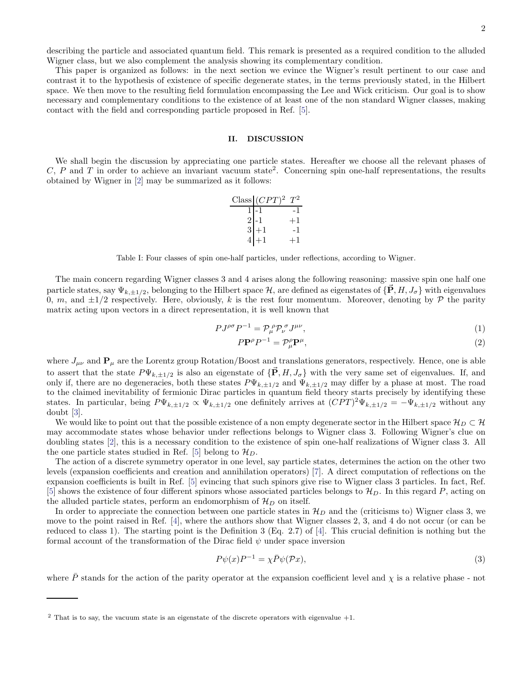describing the particle and associated quantum field. This remark is presented as a required condition to the alluded Wigner class, but we also complement the analysis showing its complementary condition.

This paper is organized as follows: in the next section we evince the Wigner's result pertinent to our case and contrast it to the hypothesis of existence of specific degenerate states, in the terms previously stated, in the Hilbert space. We then move to the resulting field formulation encompassing the Lee and Wick criticism. Our goal is to show necessary and complementary conditions to the existence of at least one of the non standard Wigner classes, making contact with the field and corresponding particle proposed in Ref. [\[5\]](#page-5-4).

## II. DISCUSSION

We shall begin the discussion by appreciating one particle states. Hereafter we choose all the relevant phases of  $C, P$  and  $T$  in order to achieve an invariant vacuum state<sup>2</sup>. Concerning spin one-half representations, the results obtained by Wigner in [\[2](#page-5-1)] may be summarized as it follows:

|                | Class $(CPT)^2$ $T^2$ |  |
|----------------|-----------------------|--|
|                |                       |  |
| $\frac{2}{3}$  |                       |  |
|                |                       |  |
| $\overline{4}$ |                       |  |

Table I: Four classes of spin one-half particles, under reflections, according to Wigner.

The main concern regarding Wigner classes 3 and 4 arises along the following reasoning: massive spin one half one particle states, say  $\Psi_{k,\pm 1/2}$ , belonging to the Hilbert space H, are defined as eigenstates of  $\{\vec{P}, H, J_{\sigma}\}\$  with eigenvalues 0, m, and  $\pm 1/2$  respectively. Here, obviously, k is the rest four momentum. Moreover, denoting by P the parity matrix acting upon vectors in a direct representation, it is well known that

$$
P J^{\rho\sigma} P^{-1} = \mathcal{P}_{\mu}^{\ \rho} \mathcal{P}_{\nu}^{\ \sigma} J^{\mu\nu},\tag{1}
$$

$$
P\mathbf{P}^{\rho}P^{-1} = \mathcal{P}_{\mu}^{\rho}\mathbf{P}^{\mu},\tag{2}
$$

where  $J_{\mu\nu}$  and  $\mathbf{P}_{\mu}$  are the Lorentz group Rotation/Boost and translations generators, respectively. Hence, one is able to assert that the state  $P\Psi_{k,\pm 1/2}$  is also an eigenstate of  $\{\vec{P}, H, J_{\sigma}\}\$  with the very same set of eigenvalues. If, and only if, there are no degeneracies, both these states  $P\Psi_{k,\pm 1/2}$  and  $\Psi_{k,\pm 1/2}$  may differ by a phase at most. The road to the claimed inevitability of fermionic Dirac particles in quantum field theory starts precisely by identifying these states. In particular, being  $P\Psi_{k,\pm 1/2} \propto \Psi_{k,\pm 1/2}$  one definitely arrives at  $\overline{(CPT)^2 \Psi_{k,\pm 1/2}} = -\Psi_{k,\pm 1/2}$  without any doubt [\[3\]](#page-5-2).

We would like to point out that the possible existence of a non empty degenerate sector in the Hilbert space  $\mathcal{H}_D \subset \mathcal{H}$ may accommodate states whose behavior under reflections belongs to Wigner class 3. Following Wigner's clue on doubling states [\[2\]](#page-5-1), this is a necessary condition to the existence of spin one-half realizations of Wigner class 3. All the one particle states studied in Ref. [\[5](#page-5-4)] belong to  $\mathcal{H}_D$ .

The action of a discrete symmetry operator in one level, say particle states, determines the action on the other two levels (expansion coefficients and creation and annihilation operators) [\[7](#page-5-6)]. A direct computation of reflections on the expansion coefficients is built in Ref. [\[5\]](#page-5-4) evincing that such spinors give rise to Wigner class 3 particles. In fact, Ref. [\[5\]](#page-5-4) shows the existence of four different spinors whose associated particles belongs to  $\mathcal{H}_D$ . In this regard P, acting on the alluded particle states, perform an endomorphism of  $\mathcal{H}_D$  on itself.

In order to appreciate the connection between one particle states in  $\mathcal{H}_D$  and the (criticisms to) Wigner class 3, we move to the point raised in Ref. [\[4](#page-5-3)], where the authors show that Wigner classes 2, 3, and 4 do not occur (or can be reduced to class 1). The starting point is the Definition 3 (Eq. 2.7) of [\[4\]](#page-5-3). This crucial definition is nothing but the formal account of the transformation of the Dirac field  $\psi$  under space inversion

<span id="page-1-0"></span>
$$
P\psi(x)P^{-1} = \chi \bar{P}\psi(\mathcal{P}x),\tag{3}
$$

where  $\bar{P}$  stands for the action of the parity operator at the expansion coefficient level and  $\chi$  is a relative phase - not

 $2$  That is to say, the vacuum state is an eigenstate of the discrete operators with eigenvalue  $+1$ .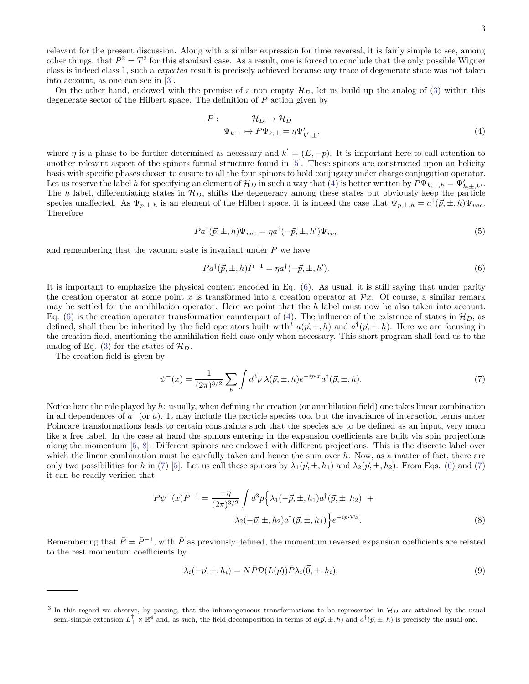relevant for the present discussion. Along with a similar expression for time reversal, it is fairly simple to see, among other things, that  $P^2 = T^2$  for this standard case. As a result, one is forced to conclude that the only possible Wigner class is indeed class 1, such a expected result is precisely achieved because any trace of degenerate state was not taken into account, as one can see in [\[3](#page-5-2)].

On the other hand, endowed with the premise of a non empty  $\mathcal{H}_D$ , let us build up the analog of [\(3\)](#page-1-0) within this degenerate sector of the Hilbert space. The definition of  $P$  action given by

<span id="page-2-0"></span>
$$
P: \t\mathcal{H}_D \to \mathcal{H}_D
$$
  
\n
$$
\Psi_{k,\pm} \to P\Psi_{k,\pm} = \eta \Psi'_{k',\pm},
$$
\n(4)

where  $\eta$  is a phase to be further determined as necessary and  $k' = (E, -p)$ . It is important here to call attention to another relevant aspect of the spinors formal structure found in [\[5\]](#page-5-4). These spinors are constructed upon an helicity basis with specific phases chosen to ensure to all the four spinors to hold conjugacy under charge conjugation operator. Let us reserve the label h for specifying an element of  $\mathcal{H}_D$  in such a way that [\(4\)](#page-2-0) is better written by  $P\Psi_{k,\pm,h} = \Psi'_{k,\pm,h'}$ . The h label, differentiating states in  $\mathcal{H}_D$ , shifts the degeneracy among these states but obviously keep the particle species unaffected. As  $\Psi_{p,\pm,h}$  is an element of the Hilbert space, it is indeed the case that  $\Psi_{p,\pm,h} = a^{\dagger}(\vec{p},\pm,h)\Psi_{vac}$ . Therefore

$$
Pa^{\dagger}(\vec{p}, \pm, h)\Psi_{vac} = \eta a^{\dagger}(-\vec{p}, \pm, h')\Psi_{vac}
$$
\n<sup>(5)</sup>

and remembering that the vacuum state is invariant under  $P$  we have

<span id="page-2-1"></span>
$$
Pa^{\dagger}(\vec{p}, \pm, h)P^{-1} = \eta a^{\dagger}(-\vec{p}, \pm, h'). \tag{6}
$$

It is important to emphasize the physical content encoded in Eq. [\(6\)](#page-2-1). As usual, it is still saying that under parity the creation operator at some point x is transformed into a creation operator at  $\mathcal{P}x$ . Of course, a similar remark may be settled for the annihilation operator. Here we point that the  $h$  label must now be also taken into account. Eq. [\(6\)](#page-2-1) is the creation operator transformation counterpart of [\(4\)](#page-2-0). The influence of the existence of states in  $\mathcal{H}_D$ , as defined, shall then be inherited by the field operators built with<sup>3</sup>  $a(\vec{p}, \pm, h)$  and  $a^{\dagger}(\vec{p}, \pm, h)$ . Here we are focusing in the creation field, mentioning the annihilation field case only when necessary. This short program shall lead us to the analog of Eq. [\(3\)](#page-1-0) for the states of  $\mathcal{H}_D$ .

The creation field is given by

<span id="page-2-2"></span>
$$
\psi^{-}(x) = \frac{1}{(2\pi)^{3/2}} \sum_{h} \int d^3p \ \lambda(\vec{p}, \pm, h) e^{-ip \cdot x} a^{\dagger}(\vec{p}, \pm, h). \tag{7}
$$

Notice here the role played by h: usually, when defining the creation (or annihilation field) one takes linear combination in all dependences of  $a^{\dagger}$  (or a). It may include the particle species too, but the invariance of interaction terms under Poincaré transformations leads to certain constraints such that the species are to be defined as an input, very much like a free label. In the case at hand the spinors entering in the expansion coefficients are built via spin projections along the momentum [\[5,](#page-5-4) [8\]](#page-5-7). Different spinors are endowed with different projections. This is the discrete label over which the linear combination must be carefully taken and hence the sum over  $h$ . Now, as a matter of fact, there are only two possibilities for h in [\(7\)](#page-2-2) [\[5](#page-5-4)]. Let us call these spinors by  $\lambda_1(\vec{p}, \pm, h_1)$  and  $\lambda_2(\vec{p}, \pm, h_2)$ . From Eqs. [\(6\)](#page-2-1) and (7) it can be readly verified that

<span id="page-2-4"></span>
$$
P\psi^{-}(x)P^{-1} = \frac{-\eta}{(2\pi)^{3/2}} \int d^3p \left\{ \lambda_1(-\vec{p}, \pm, h_1) a^{\dagger}(\vec{p}, \pm, h_2) \right. \\ \left. + \lambda_2(-\vec{p}, \pm, h_2) a^{\dagger}(\vec{p}, \pm, h_1) \right\} e^{-ip \cdot \mathcal{P} x} . \tag{8}
$$

Remembering that  $\bar{P}=\bar{P}^{-1}$ , with  $\bar{P}$  as previously defined, the momentum reversed expansion coefficients are related to the rest momentum coefficients by

<span id="page-2-3"></span>
$$
\lambda_i(-\vec{p}, \pm, h_i) = N\bar{P}\mathcal{D}(L(\vec{p}))\bar{P}\lambda_i(\vec{0}, \pm, h_i),\tag{9}
$$

<sup>&</sup>lt;sup>3</sup> In this regard we observe, by passing, that the inhomogeneous transformations to be represented in  $\mathcal{H}_D$  are attained by the usual semi-simple extension  $L_+^{\uparrow} \bowtie \mathbb{R}^4$  and, as such, the field decomposition in terms of  $a(\vec{p}, \pm, h)$  and  $a^{\dagger}(\vec{p}, \pm, h)$  is precisely the usual one.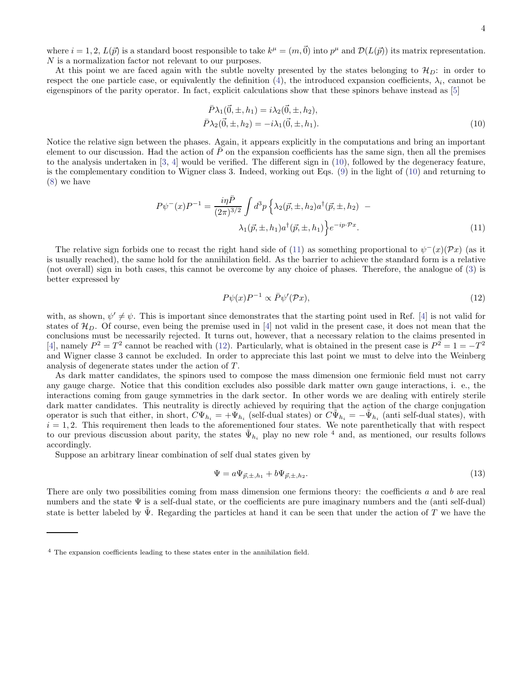where  $i = 1, 2, L(\vec{p})$  is a standard boost responsible to take  $k^{\mu} = (m, \vec{0})$  into  $p^{\mu}$  and  $\mathcal{D}(L(\vec{p}))$  its matrix representation. N is a normalization factor not relevant to our purposes.

At this point we are faced again with the subtle novelty presented by the states belonging to  $\mathcal{H}_D$ : in order to respect the one particle case, or equivalently the definition [\(4\)](#page-2-0), the introduced expansion coefficients,  $\lambda_i$ , cannot be eigenspinors of the parity operator. In fact, explicit calculations show that these spinors behave instead as [\[5\]](#page-5-4)

<span id="page-3-0"></span>
$$
\bar{P}\lambda_1(\vec{0}, \pm, h_1) = i\lambda_2(\vec{0}, \pm, h_2), \n\bar{P}\lambda_2(\vec{0}, \pm, h_2) = -i\lambda_1(\vec{0}, \pm, h_1).
$$
\n(10)

Notice the relative sign between the phases. Again, it appears explicitly in the computations and bring an important element to our discussion. Had the action of  $\bar{P}$  on the expansion coefficients has the same sign, then all the premises to the analysis undertaken in [\[3,](#page-5-2) [4\]](#page-5-3) would be verified. The different sign in [\(10\)](#page-3-0), followed by the degeneracy feature, is the complementary condition to Wigner class 3. Indeed, working out Eqs. [\(9\)](#page-2-3) in the light of [\(10\)](#page-3-0) and returning to [\(8\)](#page-2-4) we have

<span id="page-3-1"></span>
$$
P\psi^{-}(x)P^{-1} = \frac{i\eta \bar{P}}{(2\pi)^{3/2}} \int d^3p \left\{ \lambda_2(\vec{p}, \pm, h_2) a^{\dagger}(\vec{p}, \pm, h_2) - \lambda_1(\vec{p}, \pm, h_1) a^{\dagger}(\vec{p}, \pm, h_1) \right\} e^{-ip \cdot \mathcal{P}x}.
$$
\n(11)

The relative sign forbids one to recast the right hand side of [\(11\)](#page-3-1) as something proportional to  $\psi^-(x)(Px)$  (as it is usually reached), the same hold for the annihilation field. As the barrier to achieve the standard form is a relative (not overall) sign in both cases, this cannot be overcome by any choice of phases. Therefore, the analogue of [\(3\)](#page-1-0) is better expressed by

<span id="page-3-2"></span>
$$
P\psi(x)P^{-1} \propto \bar{P}\psi'(\mathcal{P}x),\tag{12}
$$

with, as shown,  $\psi' \neq \psi$ . This is important since demonstrates that the starting point used in Ref. [\[4](#page-5-3)] is not valid for states of  $\mathcal{H}_D$ . Of course, even being the premise used in [\[4](#page-5-3)] not valid in the present case, it does not mean that the conclusions must be necessarily rejected. It turns out, however, that a necessary relation to the claims presented in [\[4\]](#page-5-3), namely  $P^2 = T^2$  cannot be reached with [\(12\)](#page-3-2). Particularly, what is obtained in the present case is  $P^2 = 1 = -T^2$ and Wigner classe 3 cannot be excluded. In order to appreciate this last point we must to delve into the Weinberg analysis of degenerate states under the action of T.

As dark matter candidates, the spinors used to compose the mass dimension one fermionic field must not carry any gauge charge. Notice that this condition excludes also possible dark matter own gauge interactions, i. e., the interactions coming from gauge symmetries in the dark sector. In other words we are dealing with entirely sterile dark matter candidates. This neutrality is directly achieved by requiring that the action of the charge conjugation operator is such that either, in short,  $\tilde{C}\Psi_{h_i} = +\tilde{\Psi}_{h_i}$  (self-dual states) or  $\tilde{C}\tilde{\Psi}_{h_i} = -\tilde{\Psi}_{h_i}$  (anti self-dual states), with  $i = 1, 2$ . This requirement then leads to the aforementioned four states. We note parenthetically that with respect to our previous discussion about parity, the states  $\tilde{\Psi}_{h_i}$  play no new role  $^4$  and, as mentioned, our results follows accordingly.

Suppose an arbitrary linear combination of self dual states given by

<span id="page-3-3"></span>
$$
\Psi = a\Psi_{\vec{p},\pm,h_1} + b\Psi_{\vec{p},\pm,h_2}.\tag{13}
$$

There are only two possibilities coming from mass dimension one fermions theory: the coefficients a and b are real numbers and the state Ψ is a self-dual state, or the coefficients are pure imaginary numbers and the (anti self-dual) state is better labeled by  $\tilde{\Psi}$ . Regarding the particles at hand it can be seen that under the action of T we have the

<sup>4</sup> The expansion coefficients leading to these states enter in the annihilation field.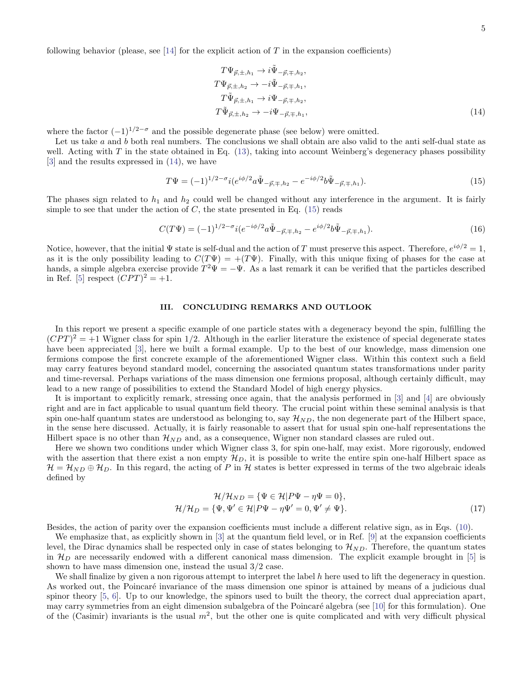5

following behavior (please, see  $[14]$  for the explicit action of T in the expansion coefficients)

<span id="page-4-0"></span>
$$
T\Psi_{\vec{p},\pm,h_1} \to i\tilde{\Psi}_{-\vec{p},\mp,h_2},
$$
  
\n
$$
T\Psi_{\vec{p},\pm,h_2} \to -i\tilde{\Psi}_{-\vec{p},\mp,h_1},
$$
  
\n
$$
T\tilde{\Psi}_{\vec{p},\pm,h_1} \to i\Psi_{-\vec{p},\mp,h_2},
$$
  
\n
$$
T\tilde{\Psi}_{\vec{p},\pm,h_2} \to -i\Psi_{-\vec{p},\mp,h_1},
$$
\n(14)

where the factor  $(-1)^{1/2-\sigma}$  and the possible degenerate phase (see below) were omitted.

Let us take a and b both real numbers. The conclusions we shall obtain are also valid to the anti self-dual state as well. Acting with  $T$  in the state obtained in Eq. [\(13\)](#page-3-3), taking into account Weinberg's degeneracy phases possibility [\[3\]](#page-5-2) and the results expressed in [\(14\)](#page-4-0), we have

<span id="page-4-1"></span>
$$
T\Psi = (-1)^{1/2 - \sigma} i (e^{i\phi/2} a \tilde{\Psi}_{-\vec{p}, \mp, h_2} - e^{-i\phi/2} b \tilde{\Psi}_{-\vec{p}, \mp, h_1}). \tag{15}
$$

The phases sign related to  $h_1$  and  $h_2$  could well be changed without any interference in the argument. It is fairly simple to see that under the action of  $C$ , the state presented in Eq. [\(15\)](#page-4-1) reads

$$
C(T\Psi) = (-1)^{1/2 - \sigma} i (e^{-i\phi/2} a \tilde{\Psi}_{-\vec{p}, \mp, h_2} - e^{i\phi/2} b \tilde{\Psi}_{-\vec{p}, \mp, h_1}). \tag{16}
$$

Notice, however, that the initial  $\Psi$  state is self-dual and the action of T must preserve this aspect. Therefore,  $e^{i\phi/2} = 1$ , as it is the only possibility leading to  $C(T\Psi) = +(T\Psi)$ . Finally, with this unique fixing of phases for the case at hands, a simple algebra exercise provide  $T^2\Psi = -\Psi$ . As a last remark it can be verified that the particles described in Ref. [\[5](#page-5-4)] respect  $(CPT)^2 = +1$ .

#### III. CONCLUDING REMARKS AND OUTLOOK

In this report we present a specific example of one particle states with a degeneracy beyond the spin, fulfilling the  $(CPT)^2 = +1$  Wigner class for spin 1/2. Although in the earlier literature the existence of special degenerate states have been appreciated [\[3](#page-5-2)], here we built a formal example. Up to the best of our knowledge, mass dimension one fermions compose the first concrete example of the aforementioned Wigner class. Within this context such a field may carry features beyond standard model, concerning the associated quantum states transformations under parity and time-reversal. Perhaps variations of the mass dimension one fermions proposal, although certainly difficult, may lead to a new range of possibilities to extend the Standard Model of high energy physics.

It is important to explicitly remark, stressing once again, that the analysis performed in [\[3](#page-5-2)] and [\[4](#page-5-3)] are obviously right and are in fact applicable to usual quantum field theory. The crucial point within these seminal analysis is that spin one-half quantum states are understood as belonging to, say  $\mathcal{H}_{ND}$ , the non degenerate part of the Hilbert space, in the sense here discussed. Actually, it is fairly reasonable to assert that for usual spin one-half representations the Hilbert space is no other than  $\mathcal{H}_{ND}$  and, as a consequence, Wigner non standard classes are ruled out.

Here we shown two conditions under which Wigner class 3, for spin one-half, may exist. More rigorously, endowed with the assertion that there exist a non empty  $\mathcal{H}_D$ , it is possible to write the entire spin one-half Hilbert space as  $\mathcal{H} = \mathcal{H}_{ND} \oplus \mathcal{H}_D$ . In this regard, the acting of P in H states is better expressed in terms of the two algebraic ideals defined by

$$
\mathcal{H}/\mathcal{H}_{ND} = \{\Psi \in \mathcal{H} | P\Psi - \eta\Psi = 0\},\
$$

$$
\mathcal{H}/\mathcal{H}_D = \{\Psi, \Psi' \in \mathcal{H} | P\Psi - \eta\Psi' = 0, \Psi' \neq \Psi\}.
$$
(17)

Besides, the action of parity over the expansion coefficients must include a different relative sign, as in Eqs. [\(10\)](#page-3-0).

We emphasize that, as explicitly shown in [\[3](#page-5-2)] at the quantum field level, or in Ref. [\[9\]](#page-5-9) at the expansion coefficients level, the Dirac dynamics shall be respected only in case of states belonging to  $\mathcal{H}_{ND}$ . Therefore, the quantum states in  $\mathcal{H}_D$  are necessarily endowed with a different canonical mass dimension. The explicit example brought in [\[5](#page-5-4)] is shown to have mass dimension one, instead the usual 3/2 case.

We shall finalize by given a non rigorous attempt to interpret the label  $h$  here used to lift the degeneracy in question. As worked out, the Poincaré invariance of the mass dimension one spinor is attained by means of a judicious dual spinor theory [\[5,](#page-5-4) [6\]](#page-5-5). Up to our knowledge, the spinors used to built the theory, the correct dual appreciation apart, may carry symmetries from an eight dimension subalgebra of the Poincaré algebra (see [\[10\]](#page-5-10) for this formulation). One of the (Casimir) invariants is the usual  $m^2$ , but the other one is quite complicated and with very difficult physical